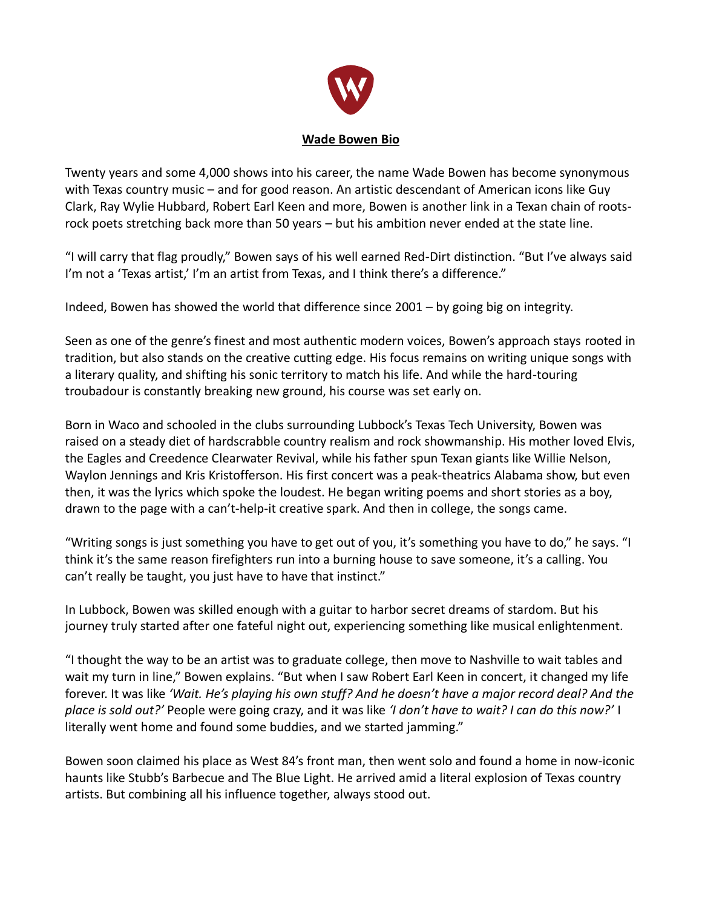

Twenty years and some 4,000 shows into his career, the name Wade Bowen has become synonymous with Texas country music – and for good reason. An artistic descendant of American icons like Guy Clark, Ray Wylie Hubbard, Robert Earl Keen and more, Bowen is another link in a Texan chain of rootsrock poets stretching back more than 50 years – but his ambition never ended at the state line.

"I will carry that flag proudly," Bowen says of his well earned Red-Dirt distinction. "But I've always said I'm not a 'Texas artist,' I'm an artist from Texas, and I think there's a difference."

Indeed, Bowen has showed the world that difference since 2001 – by going big on integrity.

Seen as one of the genre's finest and most authentic modern voices, Bowen's approach stays rooted in tradition, but also stands on the creative cutting edge. His focus remains on writing unique songs with a literary quality, and shifting his sonic territory to match his life. And while the hard-touring troubadour is constantly breaking new ground, his course was set early on.

Born in Waco and schooled in the clubs surrounding Lubbock's Texas Tech University, Bowen was raised on a steady diet of hardscrabble country realism and rock showmanship. His mother loved Elvis, the Eagles and Creedence Clearwater Revival, while his father spun Texan giants like Willie Nelson, Waylon Jennings and Kris Kristofferson. His first concert was a peak-theatrics Alabama show, but even then, it was the lyrics which spoke the loudest. He began writing poems and short stories as a boy, drawn to the page with a can't-help-it creative spark. And then in college, the songs came.

"Writing songs is just something you have to get out of you, it's something you have to do," he says. "I think it's the same reason firefighters run into a burning house to save someone, it's a calling. You can't really be taught, you just have to have that instinct."

In Lubbock, Bowen was skilled enough with a guitar to harbor secret dreams of stardom. But his journey truly started after one fateful night out, experiencing something like musical enlightenment.

"I thought the way to be an artist was to graduate college, then move to Nashville to wait tables and wait my turn in line," Bowen explains. "But when I saw Robert Earl Keen in concert, it changed my life forever. It was like *'Wait. He's playing his own stuff? And he doesn't have a major record deal? And the place is sold out?'* People were going crazy, and it was like *'I don't have to wait? I can do this now?'* I literally went home and found some buddies, and we started jamming."

Bowen soon claimed his place as West 84's front man, then went solo and found a home in now-iconic haunts like Stubb's Barbecue and The Blue Light. He arrived amid a literal explosion of Texas country artists. But combining all his influence together, always stood out.